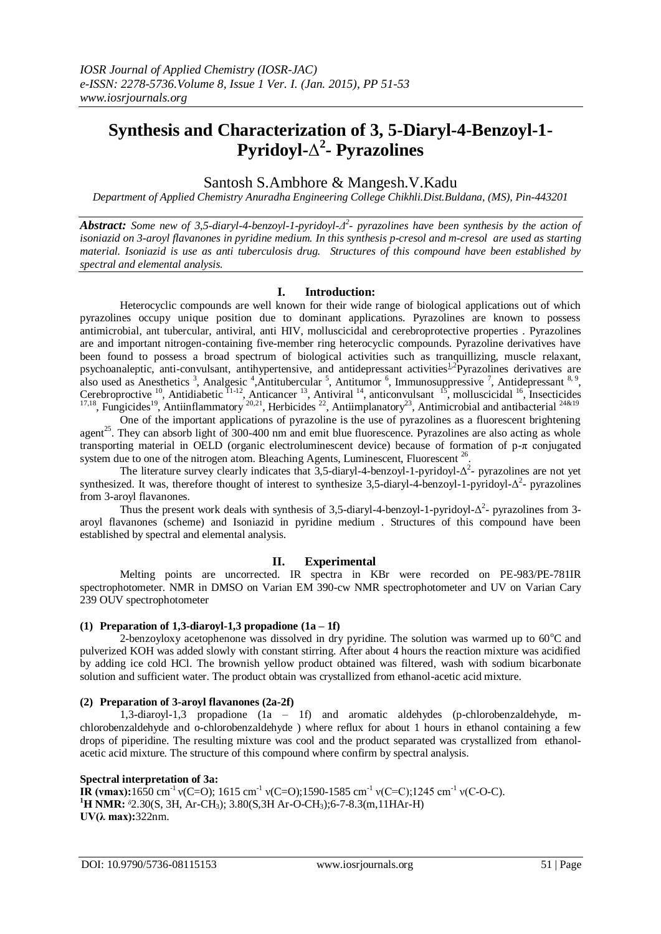# **Synthesis and Characterization of 3, 5-Diaryl-4-Benzoyl-1- Pyridoyl-**Δ **2 - Pyrazolines**

Santosh S.Ambhore & Mangesh.V.Kadu

*Department of Applied Chemistry Anuradha Engineering College Chikhli.Dist.Buldana, (MS), Pin-443201*

*Abstract: Some new of 3,5-diaryl-4-benzoyl-1-pyridoyl-Δ 2 - pyrazolines have been synthesis by the action of isoniazid on 3-aroyl flavanones in pyridine medium. In this synthesis p-cresol and m-cresol are used as starting material. Isoniazid is use as anti tuberculosis drug. Structures of this compound have been established by spectral and elemental analysis.*

# **I. Introduction:**

Heterocyclic compounds are well known for their wide range of biological applications out of which pyrazolines occupy unique position due to dominant applications. Pyrazolines are known to possess antimicrobial, ant tubercular, antiviral, anti HIV, molluscicidal and cerebroprotective properties . Pyrazolines are and important nitrogen-containing five-member ring heterocyclic compounds. Pyrazoline derivatives have been found to possess a broad spectrum of biological activities such as tranquillizing, muscle relaxant, psychoanaleptic, anti-convulsant, antihypertensive, and antidepressant activities<sup>[1,2](http://www.ncbi.nlm.nih.gov/pmc/articles/PMC1847524/#B1)</sup>Pyrazolines derivatives are also used as Anesthetics<sup>3</sup>, Analgesic<sup>4</sup>, Antitubercular<sup>5</sup>, Antitumor<sup>6</sup>, Immunosuppressive<sup>7</sup>, Antidepressant<sup>8,9</sup>, Cerebroproctive  $^{10}$ , Antidiabetic  $^{11-12}$ , Anticancer  $^{13}$ , Antiviral  $^{14}$ , anticonvulsant  $^{15}$ , molluscicidal  $^{16}$ , Insecticides <sup>17,18</sup>, Fungicides<sup>19</sup>, Antiinflammatory <sup>20,21</sup>, Herbicides <sup>22</sup>, Antiimplanatory<sup>23</sup>, Antimicrobial and antibacterial <sup>24&19</sup>

One of the important applications of pyrazoline is the use of pyrazolines as a fluorescent brightening agent<sup>25</sup>. They can absorb light of 300-400 nm and emit blue fluorescence. Pyrazolines are also acting as whole transporting material in OELD (organic electroluminescent device) because of formation of p-π conjugated system due to one of the nitrogen atom. Bleaching Agents, Luminescent, Fluorescent<sup>26</sup>.

The literature survey clearly indicates that 3,5-diaryl-4-benzoyl-1-pyridoyl- $\Delta^2$ - pyrazolines are not yet synthesized. It was, therefore thought of interest to synthesize 3,5-diaryl-4-benzoyl-1-pyridoyl- $\Delta^2$ -pyrazolines from 3-aroyl flavanones.

Thus the present work deals with synthesis of 3,5-diaryl-4-benzoyl-1-pyridoyl- $\Delta^2$ - pyrazolines from 3aroyl flavanones (scheme) and Isoniazid in pyridine medium . Structures of this compound have been established by spectral and elemental analysis.

# **II. Experimental**

Melting points are uncorrected. IR spectra in KBr were recorded on PE-983/PE-781IR spectrophotometer. NMR in DMSO on Varian EM 390-cw NMR spectrophotometer and UV on Varian Cary 239 OUV spectrophotometer

## **(1) Preparation of 1,3-diaroyl-1,3 propadione (1a – 1f)**

2-benzoyloxy acetophenone was dissolved in dry pyridine. The solution was warmed up to  $60^{\circ}$ C and pulverized KOH was added slowly with constant stirring. After about 4 hours the reaction mixture was acidified by adding ice cold HCl. The brownish yellow product obtained was filtered, wash with sodium bicarbonate solution and sufficient water. The product obtain was crystallized from ethanol-acetic acid mixture.

# **(2) Preparation of 3-aroyl flavanones (2a-2f)**

1,3-diaroyl-1,3 propadione (1a – 1f) and aromatic aldehydes (p-chlorobenzaldehyde, mchlorobenzaldehyde and o-chlorobenzaldehyde ) where reflux for about 1 hours in ethanol containing a few drops of piperidine. The resulting mixture was cool and the product separated was crystallized from ethanolacetic acid mixture. The structure of this compound where confirm by spectral analysis.

## **Spectral interpretation of 3a:**

**IR (vmax):**1650 cm<sup>-1</sup>  $v(C=O)$ ; 1615 cm<sup>-1</sup>  $v(C=O)$ ;1590-1585 cm<sup>-1</sup>  $v(C=C)$ ;1245 cm<sup>-1</sup>  $v(C-O-C)$ . <sup>1</sup>**H NMR:**  ${}^{5}$ 2.30(S, 3H, Ar-CH<sub>3</sub>); 3.80(S, 3H Ar-O-CH<sub>3</sub>); 6-7-8.3(m, 11HAr-H) **UV(λ max):**322nm.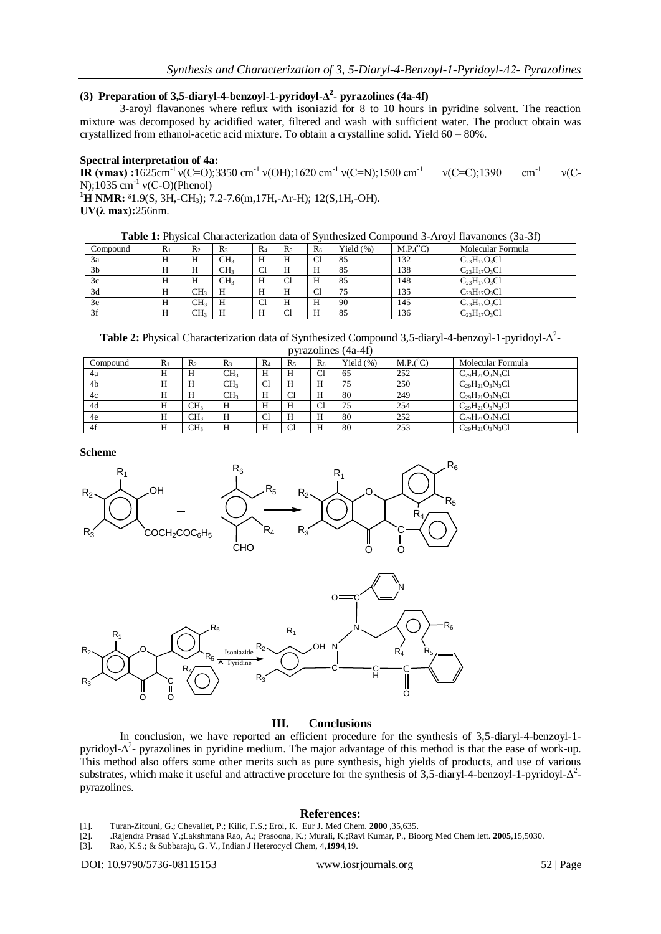## **(3) Preparation of 3,5-diaryl-4-benzoyl-1-pyridoyl-Δ 2 - pyrazolines (4a-4f)**

3-aroyl flavanones where reflux with isoniazid for 8 to 10 hours in pyridine solvent. The reaction mixture was decomposed by acidified water, filtered and wash with sufficient water. The product obtain was crystallized from ethanol-acetic acid mixture. To obtain a crystalline solid. Yield 60 – 80%.

#### **Spectral interpretation of 4a:**

**IR (vmax) :**1625cm<sup>-1</sup> v(C=O);3350 cm<sup>-1</sup> v(OH);1620 cm<sup>-1</sup> v(C=N);1500 cm<sup>-1</sup>  $v(C=C)$ ;1390 cm<sup>-1</sup> ν(C-N);1035 cm<sup>-1</sup>  $v(C-O)$ (Phenol)

**<sup>1</sup>H NMR:** ᵟ1.9(S, 3H,-CH3); 7.2-7.6(m,17H,-Ar-H); 12(S,1H,-OH). **UV(λ max):**256nm.

| <b>Table 1:</b> Physical Characterization data of Synthesized Compound 3-Aroyl flavanones (3a-3f) |  |  |  |  |  |  |  |
|---------------------------------------------------------------------------------------------------|--|--|--|--|--|--|--|
|---------------------------------------------------------------------------------------------------|--|--|--|--|--|--|--|

| Compound       | $\mathbb{R}$ | $R_2$           | $R_{3}$         | $R_4$ | $R_{5}$        | $R_6$          | Yield $(\%)$ | M.P.(°C) | Molecular Formula   |
|----------------|--------------|-----------------|-----------------|-------|----------------|----------------|--------------|----------|---------------------|
| 3a             | Н            | Н               | CH <sub>3</sub> | Н     | H              | C <sub>1</sub> | 85           | 132      | $C_{23}H_{17}O_3Cl$ |
| 3 <sub>b</sub> | Н            | Н               | CH <sub>3</sub> | Cl    | H              |                | 85           | 138      | $C_{23}H_{17}O_3Cl$ |
| 3c             | Н            | Н               | CH3             | Н     | C <sub>1</sub> | п              | 85           | 148      | $C_{23}H_{17}O_3Cl$ |
| 3d             | Н            | CH <sub>3</sub> | H               | Н     | Н              | C1             | 75           | 135      | $C_{23}H_{17}O_3Cl$ |
| 3e             | Н            | CH <sub>3</sub> | Н               | Cl    | H              | п              | 90           | 145      | $C_{23}H_{17}O_3Cl$ |
| 3f             | Н            | CH2             | Н               |       | C <sub>1</sub> |                | 85           | 136      | $C_{23}H_{17}O_3Cl$ |

**Table 2:** Physical Characterization data of Synthesized Compound 3,5-diaryl-4-benzoyl-1-pyridoyl-Δ 2 pyrazolines (4a-4f)

| Compound       | $R_1$ | R <sub>2</sub>  | $R_3$           | $R_4$       | $R_{5}$        | $R_6$ | Yield (%) | $M.P.(^{\circ}C)$ | Molecular Formula      |
|----------------|-------|-----------------|-----------------|-------------|----------------|-------|-----------|-------------------|------------------------|
| 4a             | H     | Н               | CH <sub>3</sub> | Н           | Н              | Cl    | 65        | 252               | $C_{29}H_{21}O_3N_3Cl$ |
| 4 <sub>b</sub> | H     | Н               | CH <sub>3</sub> | $\sim$<br>◡ | H              | Н     | 75        | 250               | $C_{29}H_{21}O_3N_3Cl$ |
| 4c             | H     | Н               | CH <sub>3</sub> | Н           | Cl             | H     | 80        | 249               | $C_{29}H_{21}O_3N_3Cl$ |
| 4d             | H     | CH <sub>3</sub> | H               | Н           | H              | Cl    | 75        | 254               | $C_{29}H_{21}O_3N_3Cl$ |
| 4e             | H     | CH <sub>3</sub> | Н               | $\sim$<br>◡ | H              | H     | 80        | 252               | $C_{29}H_{21}O_3N_3Cl$ |
| 4f             | H     | CH <sub>3</sub> | Н               | Н           | C <sub>1</sub> | Н     | 80        | 253               | $C_{29}H_{21}O_3N_3Cl$ |

**Scheme**



## **III. Conclusions**

In conclusion, we have reported an efficient procedure for the synthesis of 3,5-diaryl-4-benzoyl-1 pyridoyl- $Δ<sup>2</sup>$ - pyrazolines in pyridine medium. The major advantage of this method is that the ease of work-up. This method also offers some other merits such as pure synthesis, high yields of products, and use of various substrates, which make it useful and attractive proceture for the synthesis of 3,5-diaryl-4-benzoyl-1-pyridoyl- $\Delta^2$ pyrazolines.

#### **References:**

- [1]. Turan-Zitouni, G.; Chevallet, P.; Kilic, F.S.; Erol, K. Eur J. Med Chem. **2000** ,35,635.
- [2]. .Rajendra Prasad Y.;Lakshmana Rao, A.; Prasoona, K.; Murali, K.;Ravi Kumar, P., Bioorg Med Chem lett. **2005**,15,5030.
- [3]. Rao, K.S.; & Subbaraju, G. V., Indian J Heterocycl Chem, 4,**1994**,19.